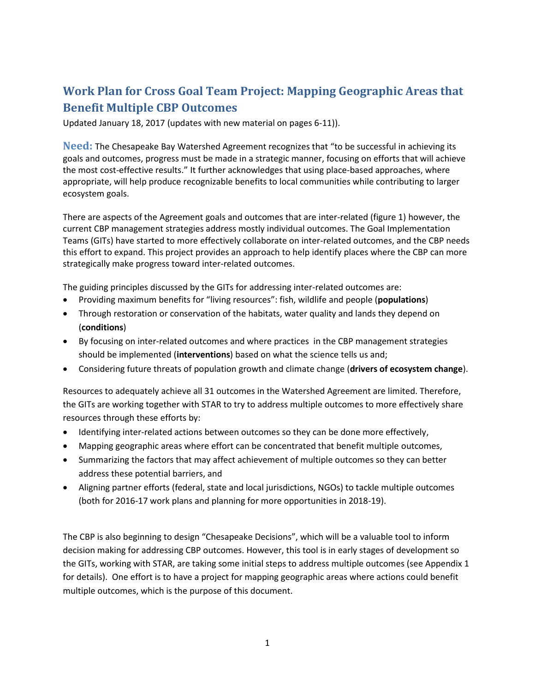# **Work Plan for Cross Goal Team Project: Mapping Geographic Areas that Benefit Multiple CBP Outcomes**

Updated January 18, 2017 (updates with new material on pages 6-11)).

**Need:** The Chesapeake Bay Watershed Agreement recognizes that "to be successful in achieving its goals and outcomes, progress must be made in a strategic manner, focusing on efforts that will achieve the most cost-effective results." It further acknowledges that using place-based approaches, where appropriate, will help produce recognizable benefits to local communities while contributing to larger ecosystem goals.

There are aspects of the Agreement goals and outcomes that are inter-related (figure 1) however, the current CBP management strategies address mostly individual outcomes. The Goal Implementation Teams (GITs) have started to more effectively collaborate on inter-related outcomes, and the CBP needs this effort to expand. This project provides an approach to help identify places where the CBP can more strategically make progress toward inter-related outcomes.

The guiding principles discussed by the GITs for addressing inter-related outcomes are:

- Providing maximum benefits for "living resources": fish, wildlife and people (**populations**)
- Through restoration or conservation of the habitats, water quality and lands they depend on (**conditions**)
- By focusing on inter-related outcomes and where practices in the CBP management strategies should be implemented (**interventions**) based on what the science tells us and;
- Considering future threats of population growth and climate change (**drivers of ecosystem change**).

Resources to adequately achieve all 31 outcomes in the Watershed Agreement are limited. Therefore, the GITs are working together with STAR to try to address multiple outcomes to more effectively share resources through these efforts by:

- Identifying inter-related actions between outcomes so they can be done more effectively,
- Mapping geographic areas where effort can be concentrated that benefit multiple outcomes,
- Summarizing the factors that may affect achievement of multiple outcomes so they can better address these potential barriers, and
- Aligning partner efforts (federal, state and local jurisdictions, NGOs) to tackle multiple outcomes (both for 2016-17 work plans and planning for more opportunities in 2018-19).

The CBP is also beginning to design "Chesapeake Decisions", which will be a valuable tool to inform decision making for addressing CBP outcomes. However, this tool is in early stages of development so the GITs, working with STAR, are taking some initial steps to address multiple outcomes (see Appendix 1 for details). One effort is to have a project for mapping geographic areas where actions could benefit multiple outcomes, which is the purpose of this document.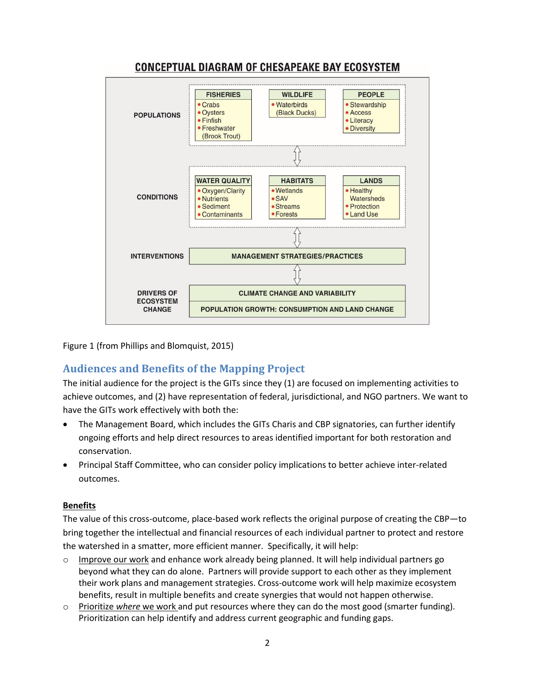

# **CONCEPTUAL DIAGRAM OF CHESAPEAKE BAY ECOSYSTEM**

Figure 1 (from Phillips and Blomquist, 2015)

# **Audiences and Benefits of the Mapping Project**

The initial audience for the project is the GITs since they (1) are focused on implementing activities to achieve outcomes, and (2) have representation of federal, jurisdictional, and NGO partners. We want to have the GITs work effectively with both the:

- The Management Board, which includes the GITs Charis and CBP signatories, can further identify ongoing efforts and help direct resources to areas identified important for both restoration and conservation.
- Principal Staff Committee, who can consider policy implications to better achieve inter-related outcomes.

#### **Benefits**

The value of this cross-outcome, place-based work reflects the original purpose of creating the CBP—to bring together the intellectual and financial resources of each individual partner to protect and restore the watershed in a smatter, more efficient manner. Specifically, it will help:

- Improve our work and enhance work already being planned. It will help individual partners go beyond what they can do alone. Partners will provide support to each other as they implement their work plans and management strategies. Cross-outcome work will help maximize ecosystem benefits, result in multiple benefits and create synergies that would not happen otherwise.
- o Prioritize *where* we work and put resources where they can do the most good (smarter funding). Prioritization can help identify and address current geographic and funding gaps.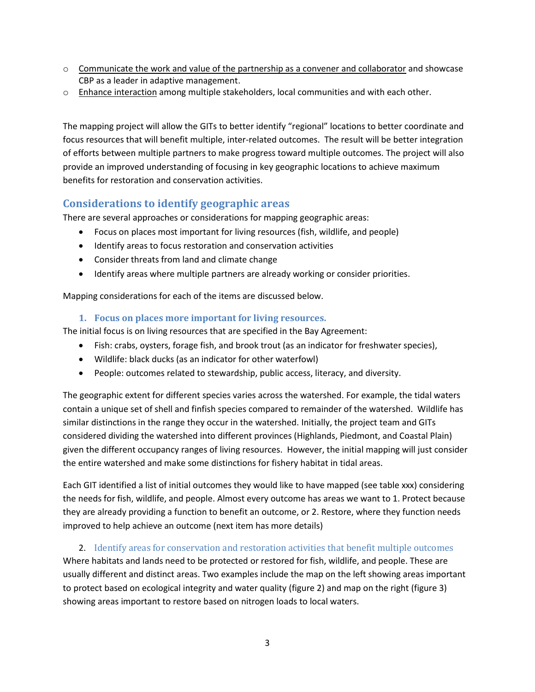- $\circ$  Communicate the work and value of the partnership as a convener and collaborator and showcase CBP as a leader in adaptive management.
- o Enhance interaction among multiple stakeholders, local communities and with each other.

The mapping project will allow the GITs to better identify "regional" locations to better coordinate and focus resources that will benefit multiple, inter-related outcomes. The result will be better integration of efforts between multiple partners to make progress toward multiple outcomes. The project will also provide an improved understanding of focusing in key geographic locations to achieve maximum benefits for restoration and conservation activities.

# **Considerations to identify geographic areas**

There are several approaches or considerations for mapping geographic areas:

- Focus on places most important for living resources (fish, wildlife, and people)
- Identify areas to focus restoration and conservation activities
- Consider threats from land and climate change
- **•** Identify areas where multiple partners are already working or consider priorities.

Mapping considerations for each of the items are discussed below.

#### **1. Focus on places more important for living resources.**

The initial focus is on living resources that are specified in the Bay Agreement:

- Fish: crabs, oysters, forage fish, and brook trout (as an indicator for freshwater species),
- Wildlife: black ducks (as an indicator for other waterfowl)
- People: outcomes related to stewardship, public access, literacy, and diversity.

The geographic extent for different species varies across the watershed. For example, the tidal waters contain a unique set of shell and finfish species compared to remainder of the watershed. Wildlife has similar distinctions in the range they occur in the watershed. Initially, the project team and GITs considered dividing the watershed into different provinces (Highlands, Piedmont, and Coastal Plain) given the different occupancy ranges of living resources. However, the initial mapping will just consider the entire watershed and make some distinctions for fishery habitat in tidal areas.

Each GIT identified a list of initial outcomes they would like to have mapped (see table xxx) considering the needs for fish, wildlife, and people. Almost every outcome has areas we want to 1. Protect because they are already providing a function to benefit an outcome, or 2. Restore, where they function needs improved to help achieve an outcome (next item has more details)

#### 2. Identify areas for conservation and restoration activities that benefit multiple outcomes

Where habitats and lands need to be protected or restored for fish, wildlife, and people. These are usually different and distinct areas. Two examples include the map on the left showing areas important to protect based on ecological integrity and water quality (figure 2) and map on the right (figure 3) showing areas important to restore based on nitrogen loads to local waters.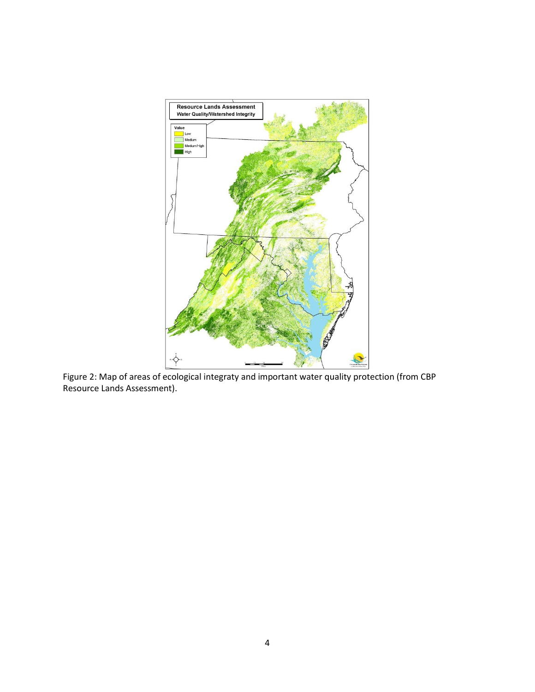

Figure 2: Map of areas of ecological integraty and important water quality protection (from CBP Resource Lands Assessment).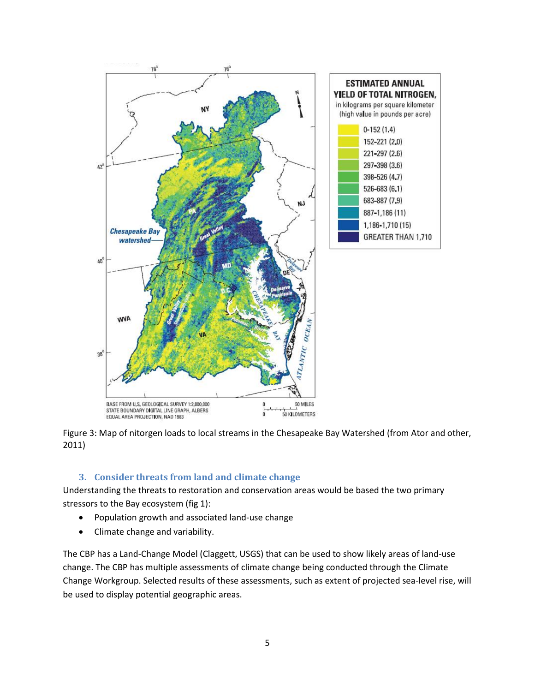

Figure 3: Map of nitorgen loads to local streams in the Chesapeake Bay Watershed (from Ator and other, 2011)

#### **3. Consider threats from land and climate change**

Understanding the threats to restoration and conservation areas would be based the two primary stressors to the Bay ecosystem (fig 1):

- Population growth and associated land-use change
- Climate change and variability.

The CBP has a Land-Change Model (Claggett, USGS) that can be used to show likely areas of land-use change. The CBP has multiple assessments of climate change being conducted through the Climate Change Workgroup. Selected results of these assessments, such as extent of projected sea-level rise, will be used to display potential geographic areas.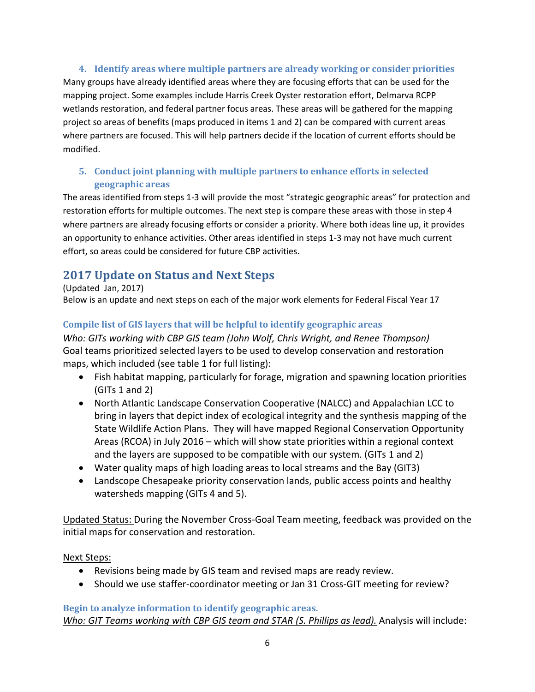**4. Identify areas where multiple partners are already working or consider priorities** Many groups have already identified areas where they are focusing efforts that can be used for the mapping project. Some examples include Harris Creek Oyster restoration effort, Delmarva RCPP wetlands restoration, and federal partner focus areas. These areas will be gathered for the mapping project so areas of benefits (maps produced in items 1 and 2) can be compared with current areas where partners are focused. This will help partners decide if the location of current efforts should be modified.

## **5. Conduct joint planning with multiple partners to enhance efforts in selected geographic areas**

The areas identified from steps 1-3 will provide the most "strategic geographic areas" for protection and restoration efforts for multiple outcomes. The next step is compare these areas with those in step 4 where partners are already focusing efforts or consider a priority. Where both ideas line up, it provides an opportunity to enhance activities. Other areas identified in steps 1-3 may not have much current effort, so areas could be considered for future CBP activities.

# **2017 Update on Status and Next Steps**

(Updated Jan, 2017) Below is an update and next steps on each of the major work elements for Federal Fiscal Year 17

# **Compile list of GIS layers that will be helpful to identify geographic areas**

#### *Who: GITs working with CBP GIS team (John Wolf, Chris Wright, and Renee Thompson)*

Goal teams prioritized selected layers to be used to develop conservation and restoration maps, which included (see table 1 for full listing):

- Fish habitat mapping, particularly for forage, migration and spawning location priorities (GITs 1 and 2)
- North Atlantic Landscape Conservation Cooperative (NALCC) and Appalachian LCC to bring in layers that depict index of ecological integrity and the synthesis mapping of the State Wildlife Action Plans. They will have mapped Regional Conservation Opportunity Areas (RCOA) in July 2016 – which will show state priorities within a regional context and the layers are supposed to be compatible with our system. (GITs 1 and 2)
- Water quality maps of high loading areas to local streams and the Bay (GIT3)
- Landscope Chesapeake priority conservation lands, public access points and healthy watersheds mapping (GITs 4 and 5).

Updated Status: During the November Cross-Goal Team meeting, feedback was provided on the initial maps for conservation and restoration.

Next Steps:

- Revisions being made by GIS team and revised maps are ready review.
- Should we use staffer-coordinator meeting or Jan 31 Cross-GIT meeting for review?

**Begin to analyze information to identify geographic areas.** *Who: GIT Teams working with CBP GIS team and STAR (S. Phillips as lead).* Analysis will include: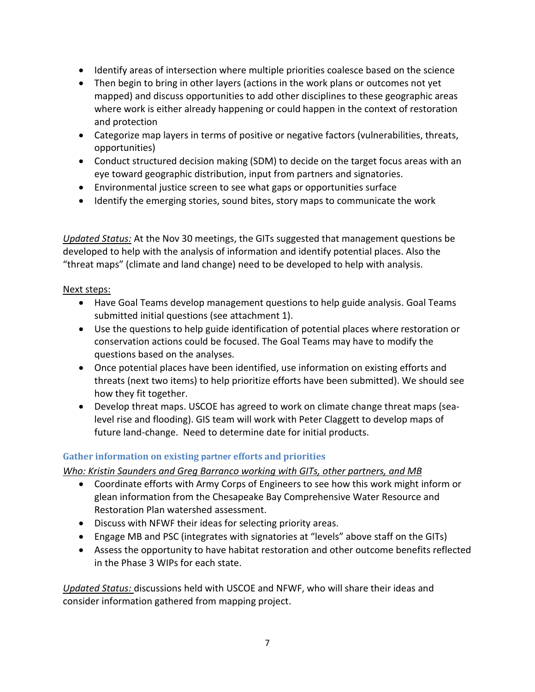- Identify areas of intersection where multiple priorities coalesce based on the science
- Then begin to bring in other layers (actions in the work plans or outcomes not yet mapped) and discuss opportunities to add other disciplines to these geographic areas where work is either already happening or could happen in the context of restoration and protection
- Categorize map layers in terms of positive or negative factors (vulnerabilities, threats, opportunities)
- Conduct structured decision making (SDM) to decide on the target focus areas with an eye toward geographic distribution, input from partners and signatories.
- Environmental justice screen to see what gaps or opportunities surface
- Identify the emerging stories, sound bites, story maps to communicate the work

*Updated Status:* At the Nov 30 meetings, the GITs suggested that management questions be developed to help with the analysis of information and identify potential places. Also the "threat maps" (climate and land change) need to be developed to help with analysis.

#### Next steps:

- Have Goal Teams develop management questions to help guide analysis. Goal Teams submitted initial questions (see attachment 1).
- Use the questions to help guide identification of potential places where restoration or conservation actions could be focused. The Goal Teams may have to modify the questions based on the analyses.
- Once potential places have been identified, use information on existing efforts and threats (next two items) to help prioritize efforts have been submitted). We should see how they fit together.
- Develop threat maps. USCOE has agreed to work on climate change threat maps (sealevel rise and flooding). GIS team will work with Peter Claggett to develop maps of future land-change. Need to determine date for initial products.

### **Gather information on existing partner efforts and priorities**

*Who: Kristin Saunders and Greg Barranco working with GITs, other partners, and MB*

- Coordinate efforts with Army Corps of Engineers to see how this work might inform or glean information from the Chesapeake Bay Comprehensive Water Resource and Restoration Plan watershed assessment.
- Discuss with NFWF their ideas for selecting priority areas.
- Engage MB and PSC (integrates with signatories at "levels" above staff on the GITs)
- Assess the opportunity to have habitat restoration and other outcome benefits reflected in the Phase 3 WIPs for each state.

*Updated Status:* discussions held with USCOE and NFWF, who will share their ideas and consider information gathered from mapping project.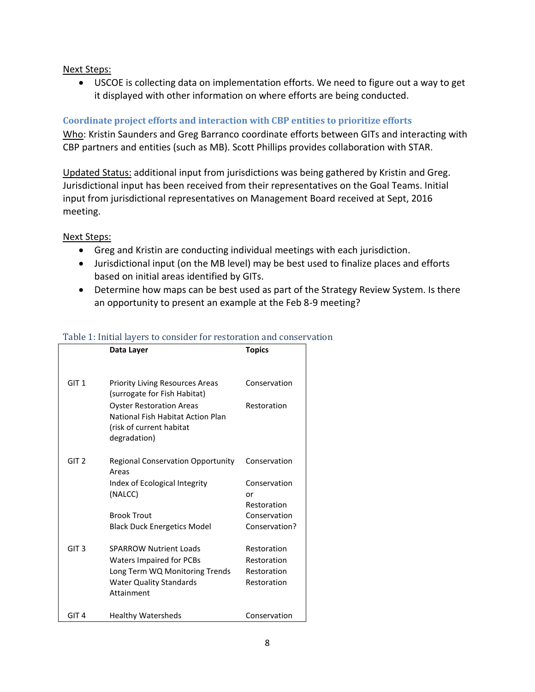Next Steps:

 USCOE is collecting data on implementation efforts. We need to figure out a way to get it displayed with other information on where efforts are being conducted.

# **Coordinate project efforts and interaction with CBP entities to prioritize efforts**

Who: Kristin Saunders and Greg Barranco coordinate efforts between GITs and interacting with CBP partners and entities (such as MB). Scott Phillips provides collaboration with STAR.

Updated Status: additional input from jurisdictions was being gathered by Kristin and Greg. Jurisdictional input has been received from their representatives on the Goal Teams. Initial input from jurisdictional representatives on Management Board received at Sept, 2016 meeting.

Next Steps:

- Greg and Kristin are conducting individual meetings with each jurisdiction.
- Jurisdictional input (on the MB level) may be best used to finalize places and efforts based on initial areas identified by GITs.
- Determine how maps can be best used as part of the Strategy Review System. Is there an opportunity to present an example at the Feb 8-9 meeting?

|                  | Data Layer                                                                                                       | <b>Topics</b>                 |
|------------------|------------------------------------------------------------------------------------------------------------------|-------------------------------|
|                  |                                                                                                                  |                               |
| GIT <sub>1</sub> | <b>Priority Living Resources Areas</b><br>(surrogate for Fish Habitat)                                           | Conservation                  |
|                  | <b>Oyster Restoration Areas</b><br>National Fish Habitat Action Plan<br>(risk of current habitat<br>degradation) | Restoration                   |
| GIT <sub>2</sub> | <b>Regional Conservation Opportunity</b><br>Areas                                                                | Conservation                  |
|                  | Index of Ecological Integrity<br>(NALCC)                                                                         | Conservation<br>or            |
|                  | <b>Brook Trout</b>                                                                                               | Restoration                   |
|                  |                                                                                                                  | Conservation<br>Conservation? |
|                  | <b>Black Duck Energetics Model</b>                                                                               |                               |
| GIT <sub>3</sub> | <b>SPARROW Nutrient Loads</b>                                                                                    | Restoration                   |
|                  | Waters Impaired for PCBs                                                                                         | Restoration                   |
|                  | Long Term WQ Monitoring Trends                                                                                   | Restoration                   |
|                  | <b>Water Quality Standards</b><br>Attainment                                                                     | Restoration                   |
|                  |                                                                                                                  |                               |
| GIT 4            | <b>Healthy Watersheds</b>                                                                                        | Conservation                  |

# Table 1: Initial layers to consider for restoration and conservation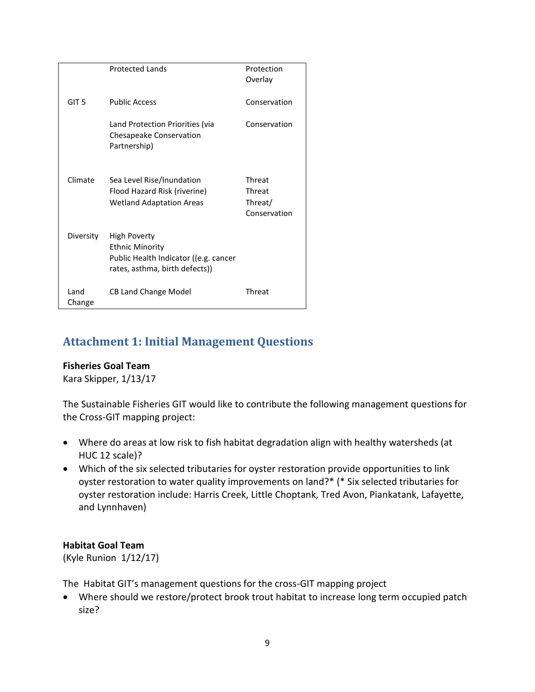|                  | <b>Protected Lands</b>                                                                                            | Protection<br>Overlay                       |
|------------------|-------------------------------------------------------------------------------------------------------------------|---------------------------------------------|
| GIT <sub>5</sub> | <b>Public Access</b>                                                                                              | Conservation                                |
|                  | Land Protection Priorities (via<br>Chesapeake Conservation<br>Partnership)                                        | Conservation                                |
| Climate          | Sea Level Rise/Inundation<br>Flood Hazard Risk (riverine)<br><b>Wetland Adaptation Areas</b>                      | Threat<br>Threat<br>Threat/<br>Conservation |
| Diversity        | High Poverty<br><b>Ethnic Minority</b><br>Public Health Indicator ((e.g. cancer<br>rates, asthma, birth defects)) |                                             |
| Land<br>Change   | <b>CB Land Change Model</b>                                                                                       | Threat                                      |

# **Attachment 1: Initial Management Questions**

### **Fisheries Goal Team**

Kara Skipper, 1/13/17

The Sustainable Fisheries GIT would like to contribute the following management questions for the Cross-GIT mapping project:

- Where do areas at low risk to fish habitat degradation align with healthy watersheds (at HUC 12 scale)?
- Which of the six selected tributaries for oyster restoration provide opportunities to link oyster restoration to water quality improvements on land?\* (\* Six selected tributaries for oyster restoration include: Harris Creek, Little Choptank, Tred Avon, Piankatank, Lafayette, and Lynnhaven)

### **Habitat Goal Team**

(Kyle Runion 1/12/17)

The Habitat GIT's management questions for the cross-GIT mapping project

 Where should we restore/protect brook trout habitat to increase long term occupied patch size?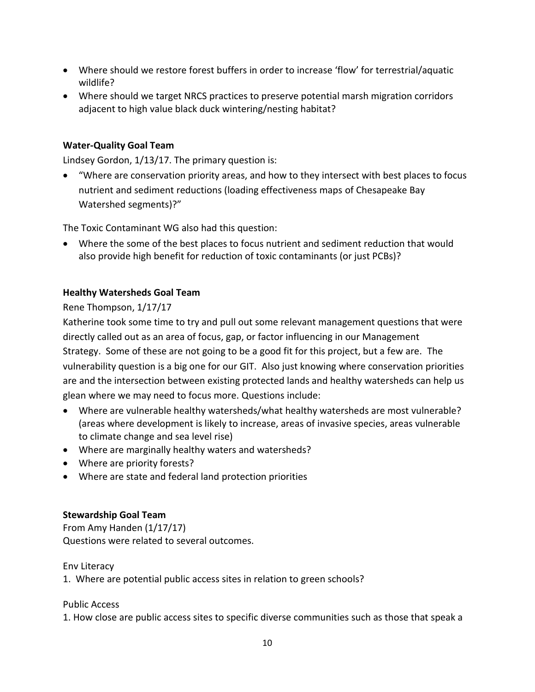- Where should we restore forest buffers in order to increase 'flow' for terrestrial/aquatic wildlife?
- Where should we target NRCS practices to preserve potential marsh migration corridors adjacent to high value black duck wintering/nesting habitat?

#### **Water-Quality Goal Team**

Lindsey Gordon, 1/13/17. The primary question is:

 "Where are conservation priority areas, and how to they intersect with best places to focus nutrient and sediment reductions (loading effectiveness maps of Chesapeake Bay Watershed segments)?"

The Toxic Contaminant WG also had this question:

 Where the some of the best places to focus nutrient and sediment reduction that would also provide high benefit for reduction of toxic contaminants (or just PCBs)?

#### **Healthy Watersheds Goal Team**

Rene Thompson, 1/17/17

Katherine took some time to try and pull out some relevant management questions that were directly called out as an area of focus, gap, or factor influencing in our Management Strategy. Some of these are not going to be a good fit for this project, but a few are. The vulnerability question is a big one for our GIT. Also just knowing where conservation priorities are and the intersection between existing protected lands and healthy watersheds can help us glean where we may need to focus more. Questions include:

- Where are vulnerable healthy watersheds/what healthy watersheds are most vulnerable? (areas where development is likely to increase, areas of invasive species, areas vulnerable to climate change and sea level rise)
- Where are marginally healthy waters and watersheds?
- Where are priority forests?
- Where are state and federal land protection priorities

#### **Stewardship Goal Team**

From Amy Handen (1/17/17) Questions were related to several outcomes.

#### Env Literacy

1. Where are potential public access sites in relation to green schools?

Public Access

1. How close are public access sites to specific diverse communities such as those that speak a